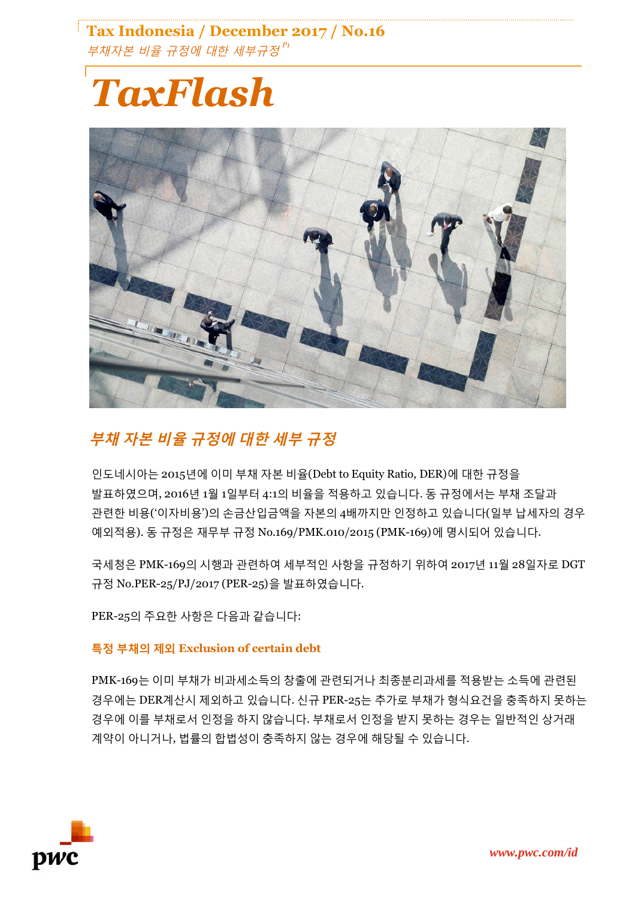### **Tax Indonesia / December 2017 / No.16** 부채자본 비율 규정에 대한 세부규정 *P1*

# *TaxFlash*



## **부채 자본 비율 규정에 대한 세부 규정**

인도네시아는 2015년에 이미 부채 자본 비율(Debt to Equity Ratio, DER)에 대한 규정을 발표하였으며, 2016년 1월 1일부터 4:1의 비율을 적용하고 있습니다. 동 규정에서는 부채 조달과 관련한 비용('이자비용')의 손금산입금액을 자본의 4배까지만 인정하고 있습니다(일부 납세자의 경우 예외적용). 동 규정은 재무부 규정 No.169/PMK.010/2015 (PMK-169)에 명시되어 있습니다.

국세청은 PMK-169의 시행과 관련하여 세부적인 사항을 규정하기 위하여 2017년 11월 28일자로 DGT 규정 No.PER-25/PJ/2017 (PER-25)을 발표하였습니다.

PER-25의 주요한 사항은 다음과 같습니다:

#### **특정 부채의 제외 Exclusion of certain debt**

PMK-169는 이미 부채가 비과세소득의 창출에 관련되거나 최종분리과세를 적용받는 소득에 관련된 경우에는 DER계산시 제외하고 있습니다. 신규 PER-25는 추가로 부채가 형식요건을 충족하지 못하는 경우에 이를 부채로서 인정을 하지 않습니다. 부채로서 인정을 받지 못하는 경우는 일반적인 상거래 계약이 아니거나, 법률의 합법성이 충족하지 않는 경우에 해당될 수 있습니다.

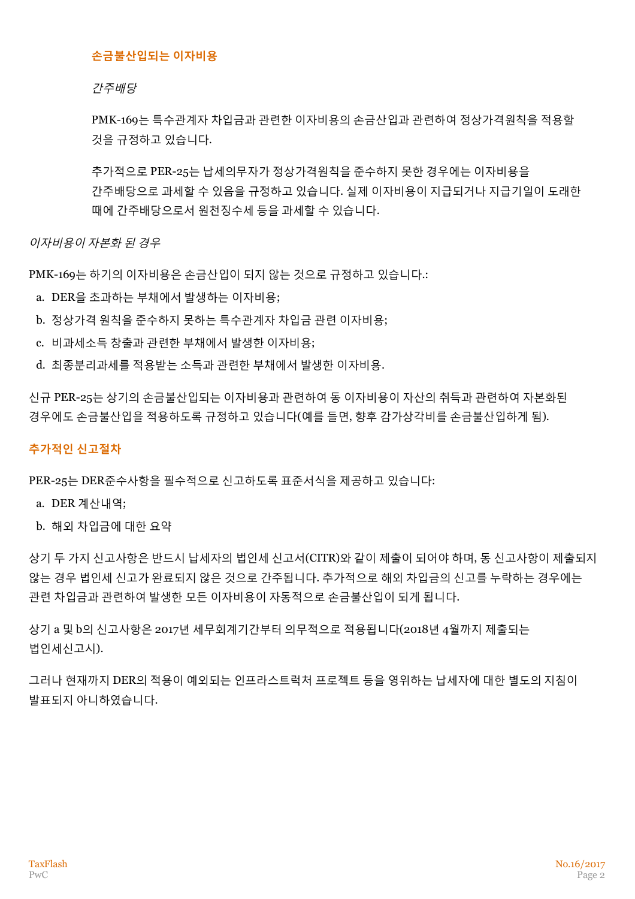#### **손금불산입되는 이자비용**

간주배당

PMK-169는 특수관계자 차입금과 관련한 이자비용의 손금산입과 관련하여 정상가격원칙을 적용할 것을 규정하고 있습니다.

추가적으로 PER-25는 납세의무자가 정상가격원칙을 준수하지 못한 경우에는 이자비용을 간주배당으로 과세할 수 있음을 규정하고 있습니다. 실제 이자비용이 지급되거나 지급기일이 도래한 때에 간주배당으로서 원천징수세 등을 과세할 수 있습니다.

이자비용이 자본화 된 경우

PMK-169는 하기의 이자비용은 손금산입이 되지 않는 것으로 규정하고 있습니다.:

- a. DER을 초과하는 부채에서 발생하는 이자비용;
- b. 정상가격 원칙을 준수하지 못하는 특수관계자 차입금 관련 이자비용;
- c. 비과세소득 창출과 관련한 부채에서 발생한 이자비용;
- d. 최종분리과세를 적용받는 소득과 관련한 부채에서 발생한 이자비용.

신규 PER-25는 상기의 손금불산입되는 이자비용과 관련하여 동 이자비용이 자산의 취득과 관련하여 자본화된 경우에도 손금불산입을 적용하도록 규정하고 있습니다(예를 들면, 향후 감가상각비를 손금불산입하게 됨).

#### **추가적인 신고절차**

PER-25는 DER준수사항을 필수적으로 신고하도록 표준서식을 제공하고 있습니다:

- a. DER 계산내역;
- b. 해외 차입금에 대한 요약

상기 두 가지 신고사항은 반드시 납세자의 법인세 신고서(CITR)와 같이 제출이 되어야 하며, 동 신고사항이 제출되지 않는 경우 법인세 신고가 완료되지 않은 것으로 간주됩니다. 추가적으로 해외 차입금의 신고를 누락하는 경우에는 관련 차입금과 관련하여 발생한 모든 이자비용이 자동적으로 손금불산입이 되게 됩니다.

상기 a 및 b의 신고사항은 2017년 세무회계기간부터 의무적으로 적용됩니다(2018년 4월까지 제출되는 법인세신고시).

그러나 현재까지 DER의 적용이 예외되는 인프라스트럭처 프로젝트 등을 영위하는 납세자에 대한 별도의 지침이 발표되지 아니하였습니다.